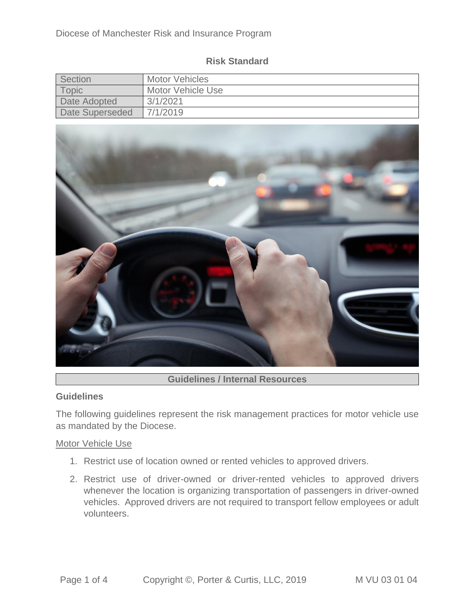|  | <b>Risk Standard</b> |
|--|----------------------|
|--|----------------------|

| Section         | <b>Motor Vehicles</b> |
|-----------------|-----------------------|
| Topic           | Motor Vehicle Use     |
| Date Adopted    | 3/1/2021              |
| Date Superseded | 7/1/2019              |



# **Guidelines / Internal Resources**

### **Guidelines**

The following guidelines represent the risk management practices for motor vehicle use as mandated by the Diocese.

### Motor Vehicle Use

- 1. Restrict use of location owned or rented vehicles to approved drivers.
- 2. Restrict use of driver-owned or driver-rented vehicles to approved drivers whenever the location is organizing transportation of passengers in driver-owned vehicles. Approved drivers are not required to transport fellow employees or adult volunteers.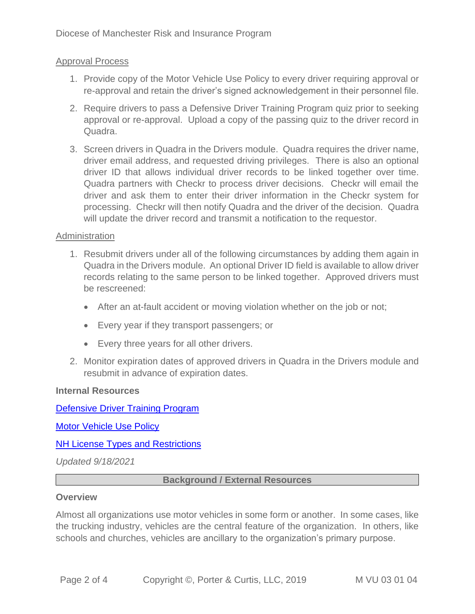# Approval Process

- 1. Provide copy of the Motor Vehicle Use Policy to every driver requiring approval or re-approval and retain the driver's signed acknowledgement in their personnel file.
- 2. Require drivers to pass a Defensive Driver Training Program quiz prior to seeking approval or re-approval. Upload a copy of the passing quiz to the driver record in Quadra.
- 3. Screen drivers in Quadra in the Drivers module. Quadra requires the driver name, driver email address, and requested driving privileges. There is also an optional driver ID that allows individual driver records to be linked together over time. Quadra partners with Checkr to process driver decisions. Checkr will email the driver and ask them to enter their driver information in the Checkr system for processing. Checkr will then notify Quadra and the driver of the decision. Quadra will update the driver record and transmit a notification to the requestor.

## **Administration**

- 1. Resubmit drivers under all of the following circumstances by adding them again in Quadra in the Drivers module. An optional Driver ID field is available to allow driver records relating to the same person to be linked together. Approved drivers must be rescreened:
	- After an at-fault accident or moving violation whether on the job or not;
	- Every year if they transport passengers; or
	- Every three years for all other drivers.
- 2. Monitor expiration dates of approved drivers in Quadra in the Drivers module and resubmit in advance of expiration dates.

### **Internal Resources**

[Defensive Driver Training Program](https://quadra.aeti-inc.com/Documents/Home/ViewDocument/18190)

[Motor Vehicle Use Policy](https://quadra.aeti-inc.com/Documents/Home/ViewDocument/15472)

### [NH License Types and Restrictions](https://quadra.aeti-inc.com/Documents/Home/ViewDocument/13698)

*Updated 9/18/2021*

## **Background / External Resources**

### **Overview**

Almost all organizations use motor vehicles in some form or another. In some cases, like the trucking industry, vehicles are the central feature of the organization. In others, like schools and churches, vehicles are ancillary to the organization's primary purpose.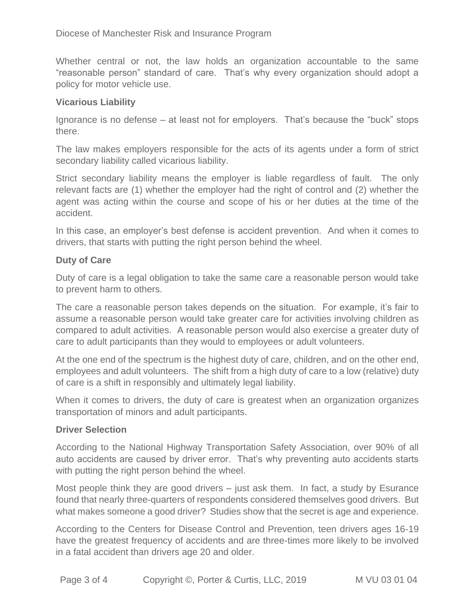Whether central or not, the law holds an organization accountable to the same "reasonable person" standard of care. That's why every organization should adopt a policy for motor vehicle use.

# **Vicarious Liability**

Ignorance is no defense – at least not for employers. That's because the "buck" stops there.

The law makes employers responsible for the acts of its agents under a form of strict secondary liability called vicarious liability.

Strict secondary liability means the employer is liable regardless of fault. The only relevant facts are (1) whether the employer had the right of control and (2) whether the agent was acting within the course and scope of his or her duties at the time of the accident.

In this case, an employer's best defense is accident prevention. And when it comes to drivers, that starts with putting the right person behind the wheel.

# **Duty of Care**

Duty of care is a legal obligation to take the same care a reasonable person would take to prevent harm to others.

The care a reasonable person takes depends on the situation. For example, it's fair to assume a reasonable person would take greater care for activities involving children as compared to adult activities. A reasonable person would also exercise a greater duty of care to adult participants than they would to employees or adult volunteers.

At the one end of the spectrum is the highest duty of care, children, and on the other end, employees and adult volunteers. The shift from a high duty of care to a low (relative) duty of care is a shift in responsibly and ultimately legal liability.

When it comes to drivers, the duty of care is greatest when an organization organizes transportation of minors and adult participants.

# **Driver Selection**

According to the National Highway Transportation Safety Association, over 90% of all auto accidents are caused by driver error. That's why preventing auto accidents starts with putting the right person behind the wheel.

Most people think they are good drivers – just ask them. In fact, a study by Esurance found that nearly three-quarters of respondents considered themselves good drivers. But what makes someone a good driver? Studies show that the secret is age and experience.

According to the Centers for Disease Control and Prevention, teen drivers ages 16-19 have the greatest frequency of accidents and are three-times more likely to be involved in a fatal accident than drivers age 20 and older.